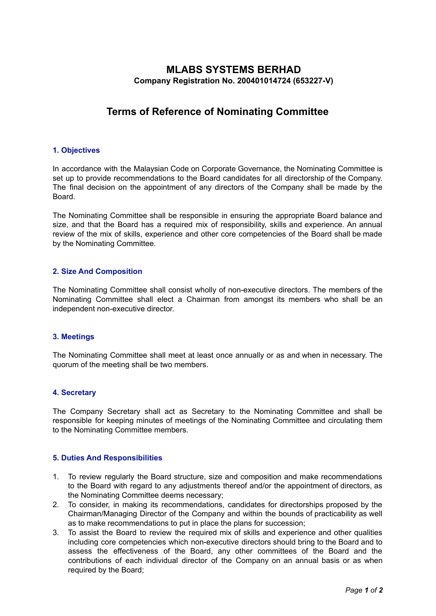# **MLABS SYSTEMS BERHAD Company Registration No. 200401014724 (653227-V)**

# **Terms of Reference of Nominating Committee**

# **1. Objectives**

In accordance with the Malaysian Code on Corporate Governance, the Nominating Committee is set up to provide recommendations to the Board candidates for all directorship of the Company. The final decision on the appointment of any directors of the Company shall be made by the Board.

The Nominating Committee shall be responsible in ensuring the appropriate Board balance and size, and that the Board has a required mix of responsibility, skills and experience. An annual review of the mix of skills, experience and other core competencies of the Board shall be made by the Nominating Committee.

# **2. Size And Composition**

The Nominating Committee shall consist wholly of non-executive directors. The members of the Nominating Committee shall elect a Chairman from amongst its members who shall be an independent non-executive director.

#### **3. Meetings**

The Nominating Committee shall meet at least once annually or as and when in necessary. The quorum of the meeting shall be two members.

#### **4. Secretary**

The Company Secretary shall act as Secretary to the Nominating Committee and shall be responsible for keeping minutes of meetings of the Nominating Committee and circulating them to the Nominating Committee members.

#### **5. Duties And Responsibilities**

- 1. To review regularly the Board structure, size and composition and make recommendations to the Board with regard to any adjustments thereof and/or the appointment of directors, as the Nominating Committee deems necessary;
- 2. To consider, in making its recommendations, candidates for directorships proposed by the Chairman/Managing Director of the Company and within the bounds of practicability as well as to make recommendations to put in place the plans for succession;
- 3. To assist the Board to review the required mix of skills and experience and other qualities including core competencies which non-executive directors should bring to the Board and to assess the effectiveness of the Board, any other committees of the Board and the contributions of each individual director of the Company on an annual basis or as when required by the Board;